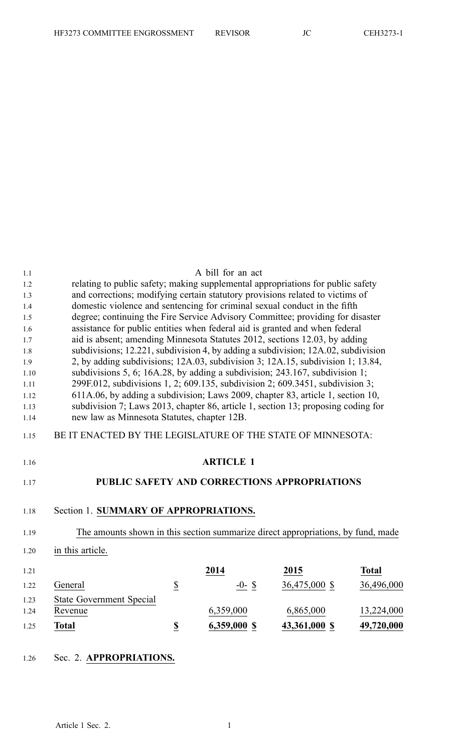| 1.1  |                                                                                   |                          | A bill for an act                            |               |              |
|------|-----------------------------------------------------------------------------------|--------------------------|----------------------------------------------|---------------|--------------|
| 1.2  | relating to public safety; making supplemental appropriations for public safety   |                          |                                              |               |              |
| 1.3  | and corrections; modifying certain statutory provisions related to victims of     |                          |                                              |               |              |
| 1.4  | domestic violence and sentencing for criminal sexual conduct in the fifth         |                          |                                              |               |              |
| 1.5  | degree; continuing the Fire Service Advisory Committee; providing for disaster    |                          |                                              |               |              |
| 1.6  | assistance for public entities when federal aid is granted and when federal       |                          |                                              |               |              |
| 1.7  | aid is absent; amending Minnesota Statutes 2012, sections 12.03, by adding        |                          |                                              |               |              |
| 1.8  | subdivisions; 12.221, subdivision 4, by adding a subdivision; 12A.02, subdivision |                          |                                              |               |              |
| 1.9  | 2, by adding subdivisions; 12A.03, subdivision 3; 12A.15, subdivision 1; 13.84,   |                          |                                              |               |              |
| 1.10 | subdivisions 5, 6; 16A.28, by adding a subdivision; 243.167, subdivision 1;       |                          |                                              |               |              |
| 1.11 | 299F.012, subdivisions 1, 2; 609.135, subdivision 2; 609.3451, subdivision 3;     |                          |                                              |               |              |
| 1.12 | 611A.06, by adding a subdivision; Laws 2009, chapter 83, article 1, section 10,   |                          |                                              |               |              |
| 1.13 | subdivision 7; Laws 2013, chapter 86, article 1, section 13; proposing coding for |                          |                                              |               |              |
| 1.14 | new law as Minnesota Statutes, chapter 12B.                                       |                          |                                              |               |              |
| 1.15 | BE IT ENACTED BY THE LEGISLATURE OF THE STATE OF MINNESOTA:                       |                          |                                              |               |              |
| 1.16 |                                                                                   |                          | <b>ARTICLE 1</b>                             |               |              |
| 1.17 |                                                                                   |                          | PUBLIC SAFETY AND CORRECTIONS APPROPRIATIONS |               |              |
| 1.18 | Section 1. SUMMARY OF APPROPRIATIONS.                                             |                          |                                              |               |              |
| 1.19 | The amounts shown in this section summarize direct appropriations, by fund, made  |                          |                                              |               |              |
| 1.20 | in this article.                                                                  |                          |                                              |               |              |
| 1.21 |                                                                                   |                          | 2014                                         | 2015          | <b>Total</b> |
| 1.22 | General                                                                           | $\underline{\mathbb{S}}$ | $-0-$ \$                                     | 36,475,000 \$ | 36,496,000   |
| 1.23 | <b>State Government Special</b>                                                   |                          |                                              |               |              |
| 1.24 | Revenue                                                                           |                          | 6,359,000                                    | 6,865,000     | 13,224,000   |
| 1.25 | <b>Total</b>                                                                      | $\underline{\mathbb{S}}$ | 6,359,000 \$                                 | 43,361,000 \$ | 49,720,000   |
|      |                                                                                   |                          |                                              |               |              |

## 1.26 Sec. 2. **APPROPRIATIONS.**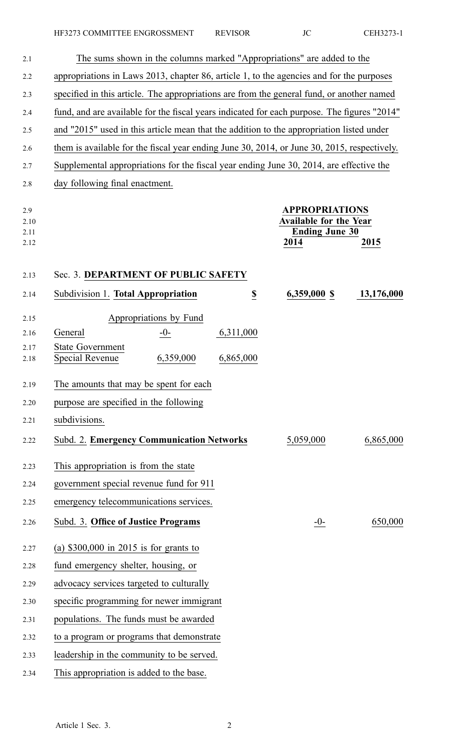| 2.1                         | The sums shown in the columns marked "Appropriations" are added to the                      |                  |                                                                                         |            |
|-----------------------------|---------------------------------------------------------------------------------------------|------------------|-----------------------------------------------------------------------------------------|------------|
| 2.2                         | appropriations in Laws 2013, chapter 86, article 1, to the agencies and for the purposes    |                  |                                                                                         |            |
| 2.3                         | specified in this article. The appropriations are from the general fund, or another named   |                  |                                                                                         |            |
| 2.4                         | fund, and are available for the fiscal years indicated for each purpose. The figures "2014" |                  |                                                                                         |            |
| 2.5                         | and "2015" used in this article mean that the addition to the appropriation listed under    |                  |                                                                                         |            |
| 2.6                         | them is available for the fiscal year ending June 30, 2014, or June 30, 2015, respectively. |                  |                                                                                         |            |
| 2.7                         | Supplemental appropriations for the fiscal year ending June 30, 2014, are effective the     |                  |                                                                                         |            |
| 2.8                         | day following final enactment.                                                              |                  |                                                                                         |            |
| 2.9<br>2.10<br>2.11<br>2.12 |                                                                                             |                  | <b>APPROPRIATIONS</b><br><b>Available for the Year</b><br><b>Ending June 30</b><br>2014 | 2015       |
| 2.13                        | Sec. 3. DEPARTMENT OF PUBLIC SAFETY                                                         |                  |                                                                                         |            |
| 2.14                        | Subdivision 1. Total Appropriation                                                          | $\underline{\$}$ | 6,359,000 \$                                                                            | 13,176,000 |
| 2.15                        | Appropriations by Fund                                                                      |                  |                                                                                         |            |
| 2.16                        | General<br>$-0-$                                                                            | 6,311,000        |                                                                                         |            |
| 2.17<br>2.18                | <b>State Government</b><br>6,359,000<br>Special Revenue                                     | 6,865,000        |                                                                                         |            |
| 2.19                        | The amounts that may be spent for each                                                      |                  |                                                                                         |            |
| 2.20                        | purpose are specified in the following                                                      |                  |                                                                                         |            |
| 2.21                        | subdivisions.                                                                               |                  |                                                                                         |            |
| 2.22                        | <b>Subd. 2. Emergency Communication Networks</b>                                            |                  | 5,059,000                                                                               | 6,865,000  |
| 2.23                        | This appropriation is from the state                                                        |                  |                                                                                         |            |
| 2.24                        | government special revenue fund for 911                                                     |                  |                                                                                         |            |
| 2.25                        | emergency telecommunications services.                                                      |                  |                                                                                         |            |
| 2.26                        | Subd. 3. Office of Justice Programs                                                         |                  | $-0-$                                                                                   | 650,000    |
| 2.27                        | (a) $$300,000$ in 2015 is for grants to                                                     |                  |                                                                                         |            |
| 2.28                        | fund emergency shelter, housing, or                                                         |                  |                                                                                         |            |
| 2.29                        | advocacy services targeted to culturally                                                    |                  |                                                                                         |            |
| 2.30                        | specific programming for newer immigrant                                                    |                  |                                                                                         |            |
| 2.31                        | populations. The funds must be awarded                                                      |                  |                                                                                         |            |
| 2.32                        | to a program or programs that demonstrate                                                   |                  |                                                                                         |            |
| 2.33                        | leadership in the community to be served.                                                   |                  |                                                                                         |            |
| 2.34                        | This appropriation is added to the base.                                                    |                  |                                                                                         |            |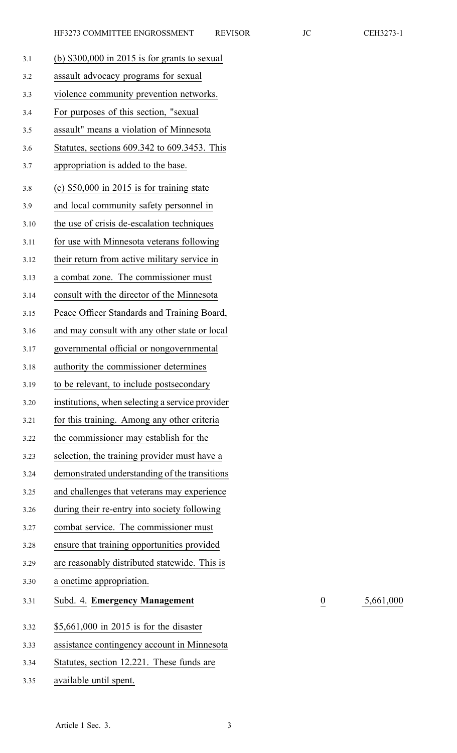| 32<br>. . |  |
|-----------|--|
|-----------|--|

3.31 Subd. 4. **Emergency Management** 0 5,661,000

| 3.1  | (b) $$300,000$ in 2015 is for grants to sexual  |
|------|-------------------------------------------------|
| 3.2  | assault advocacy programs for sexual            |
| 3.3  | violence community prevention networks.         |
| 3.4  | For purposes of this section, "sexual           |
| 3.5  | assault" means a violation of Minnesota         |
| 3.6  | Statutes, sections 609.342 to 609.3453. This    |
| 3.7  | appropriation is added to the base.             |
| 3.8  | $(c)$ \$50,000 in 2015 is for training state    |
| 3.9  | and local community safety personnel in         |
| 3.10 | the use of crisis de-escalation techniques      |
| 3.11 | for use with Minnesota veterans following       |
| 3.12 | their return from active military service in    |
| 3.13 | a combat zone. The commissioner must            |
| 3.14 | consult with the director of the Minnesota      |
| 3.15 | Peace Officer Standards and Training Board,     |
| 3.16 | and may consult with any other state or local   |
| 3.17 | governmental official or nongovernmental        |
| 3.18 | authority the commissioner determines           |
| 3.19 | to be relevant, to include postsecondary        |
| 3.20 | institutions, when selecting a service provider |
| 3.21 | for this training. Among any other criteria     |
| 3.22 | the commissioner may establish for the          |
| 3.23 | selection, the training provider must have a    |
| 3.24 | demonstrated understanding of the transitions   |
| 3.25 | and challenges that veterans may experience     |
| 3.26 | during their re-entry into society following    |
| 3.27 | combat service. The commissioner must           |
| 3.28 | ensure that training opportunities provided     |
| 3.29 | are reasonably distributed statewide. This is   |
| 3.30 | a onetime appropriation.                        |
| 3.31 | Subd. 4. Emergency Management                   |
| 3.32 | $$5,661,000$ in 2015 is for the disaster        |
| 3.33 | assistance contingency account in Minnesota     |
| 3.34 | Statutes, section 12.221. These funds are       |
| 3.35 | available until spent.                          |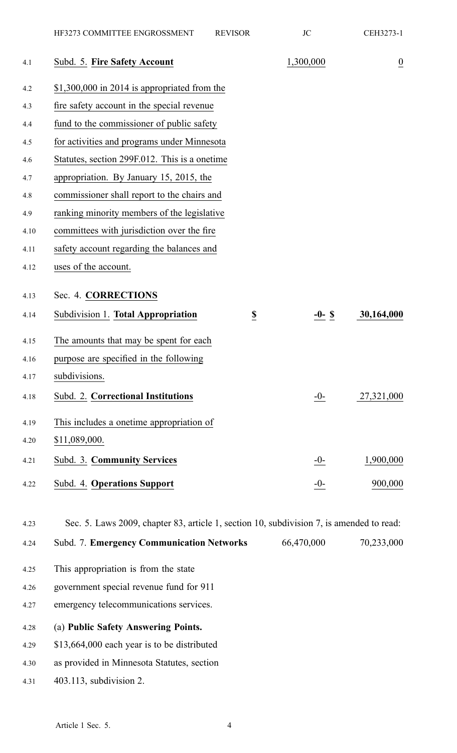| Subd. 5. Fire Safety Account                                  | 1,300,000  | $\overline{0}$                                                                           |
|---------------------------------------------------------------|------------|------------------------------------------------------------------------------------------|
| $$1,300,000$ in 2014 is appropriated from the                 |            |                                                                                          |
| fire safety account in the special revenue                    |            |                                                                                          |
| fund to the commissioner of public safety                     |            |                                                                                          |
| for activities and programs under Minnesota                   |            |                                                                                          |
| Statutes, section 299F.012. This is a onetime                 |            |                                                                                          |
| appropriation. By January 15, 2015, the                       |            |                                                                                          |
| commissioner shall report to the chairs and                   |            |                                                                                          |
| ranking minority members of the legislative                   |            |                                                                                          |
| committees with jurisdiction over the fire                    |            |                                                                                          |
| safety account regarding the balances and                     |            |                                                                                          |
| uses of the account.                                          |            |                                                                                          |
| Sec. 4. CORRECTIONS                                           |            |                                                                                          |
| Subdivision 1. Total Appropriation<br>$\overline{\mathbf{z}}$ | $-0-$ \$   | 30,164,000                                                                               |
| The amounts that may be spent for each                        |            |                                                                                          |
| purpose are specified in the following                        |            |                                                                                          |
| subdivisions.                                                 |            |                                                                                          |
| Subd. 2. Correctional Institutions                            | -0-        | 27,321,000                                                                               |
| This includes a onetime appropriation of                      |            |                                                                                          |
| \$11,089,000.                                                 |            |                                                                                          |
| Subd. 3. Community Services                                   | $-0-$      | 1,900,000                                                                                |
| Subd. 4. Operations Support                                   | $-0-$      | 900,000                                                                                  |
|                                                               |            |                                                                                          |
| <b>Subd. 7. Emergency Communication Networks</b>              | 66,470,000 | 70,233,000                                                                               |
| This appropriation is from the state                          |            |                                                                                          |
| government special revenue fund for 911                       |            |                                                                                          |
| emergency telecommunications services.                        |            |                                                                                          |
| (a) Public Safety Answering Points.                           |            |                                                                                          |
| \$13,664,000 each year is to be distributed                   |            |                                                                                          |
| as provided in Minnesota Statutes, section                    |            |                                                                                          |
|                                                               |            | Sec. 5. Laws 2009, chapter 83, article 1, section 10, subdivision 7, is amended to read: |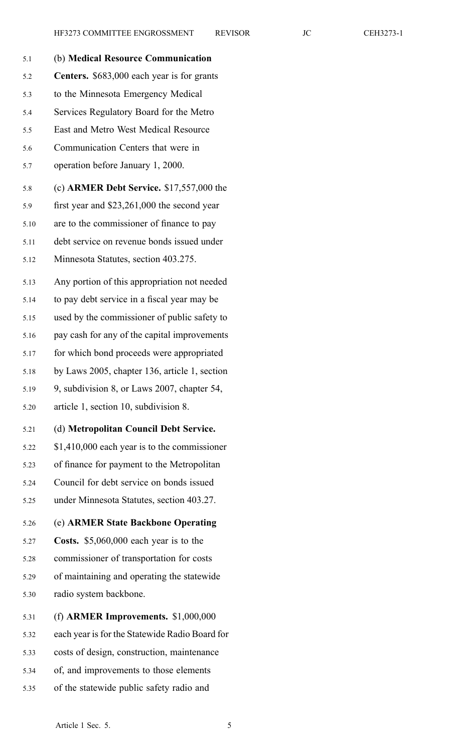| 5.1  | (b) Medical Resource Communication             |
|------|------------------------------------------------|
| 5.2  | Centers. \$683,000 each year is for grants     |
| 5.3  | to the Minnesota Emergency Medical             |
| 5.4  | Services Regulatory Board for the Metro        |
| 5.5  | East and Metro West Medical Resource           |
| 5.6  | Communication Centers that were in             |
| 5.7  | operation before January 1, 2000.              |
| 5.8  | (c) ARMER Debt Service. $$17,557,000$ the      |
| 5.9  | first year and $$23,261,000$ the second year   |
| 5.10 | are to the commissioner of finance to pay      |
| 5.11 | debt service on revenue bonds issued under     |
| 5.12 | Minnesota Statutes, section 403.275.           |
| 5.13 | Any portion of this appropriation not needed   |
| 5.14 | to pay debt service in a fiscal year may be    |
| 5.15 | used by the commissioner of public safety to   |
| 5.16 | pay cash for any of the capital improvements   |
| 5.17 | for which bond proceeds were appropriated      |
| 5.18 | by Laws 2005, chapter 136, article 1, section  |
| 5.19 | 9, subdivision 8, or Laws 2007, chapter 54,    |
| 5.20 | article 1, section 10, subdivision 8.          |
| 5.21 | (d) Metropolitan Council Debt Service.         |
| 5.22 | \$1,410,000 each year is to the commissioner   |
| 5.23 | of finance for payment to the Metropolitan     |
| 5.24 | Council for debt service on bonds issued       |
| 5.25 | under Minnesota Statutes, section 403.27.      |
| 5.26 | (e) ARMER State Backbone Operating             |
| 5.27 | Costs. \$5,060,000 each year is to the         |
| 5.28 | commissioner of transportation for costs       |
| 5.29 | of maintaining and operating the statewide     |
| 5.30 | radio system backbone.                         |
| 5.31 | (f) ARMER Improvements. $$1,000,000$           |
| 5.32 | each year is for the Statewide Radio Board for |
| 5.33 | costs of design, construction, maintenance     |
| 5.34 | of, and improvements to those elements         |

5.35 of the statewide public safety radio and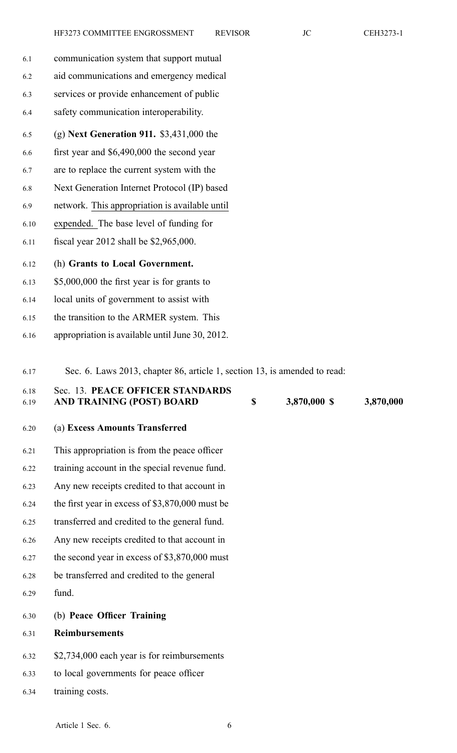6.1 communication system that suppor<sup>t</sup> mutual 6.2 aid communications and emergency medical 6.3 services or provide enhancement of public 6.4 safety communication interoperability. 6.5 (g) **Next Generation 911.** \$3,431,000 the 6.6 first year and \$6,490,000 the second year 6.7 are to replace the current system with the 6.8 Next Generation Internet Protocol (IP) based 6.9 network. This appropriation is available until 6.10 expended. The base level of funding for 6.11 fiscal year 2012 shall be \$2,965,000.

6.12 (h) **Grants to Local Government.**

- 6.13 \$5,000,000 the first year is for grants to
- 6.14 local units of governmen<sup>t</sup> to assist with
- 6.15 the transition to the ARMER system. This
- 6.16 appropriation is available until June 30, 2012.
- 6.17 Sec. 6. Laws 2013, chapter 86, article 1, section 13, is amended to read:

## 6.18 Sec. 13. **PEACE OFFICER STANDARDS** 6.19 **AND TRAINING (POST) BOARD \$ 3,870,000 \$ 3,870,000**

- 6.20 (a) **Excess Amounts Transferred**
- 6.21 This appropriation is from the peace officer
- 6.22 training account in the special revenue fund.
- 6.23 Any new receipts credited to that account in
- 6.24 the first year in excess of \$3,870,000 must be
- 6.25 transferred and credited to the general fund.
- 6.26 Any new receipts credited to that account in
- 6.27 the second year in excess of \$3,870,000 must
- 6.28 be transferred and credited to the general
- 6.29 fund.
- 6.30 (b) **Peace Officer Training**
- 6.31 **Reimbursements**
- 6.32 \$2,734,000 each year is for reimbursements
- 6.33 to local governments for peace officer
- 6.34 training costs.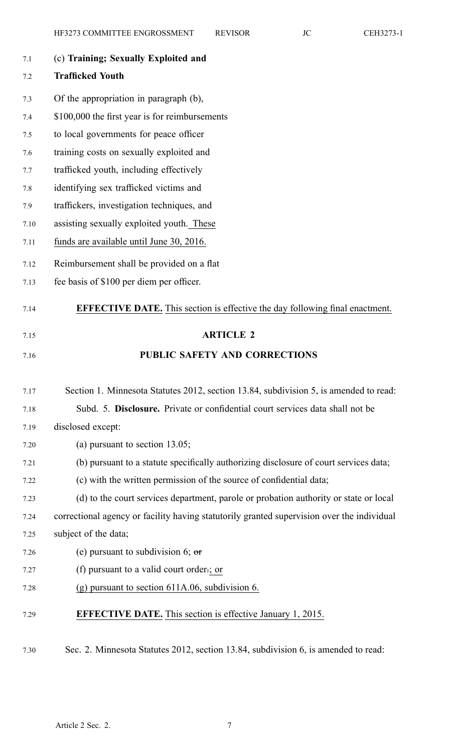| 7.1  | (c) Training; Sexually Exploited and                                                       |
|------|--------------------------------------------------------------------------------------------|
| 7.2  | <b>Trafficked Youth</b>                                                                    |
| 7.3  | Of the appropriation in paragraph (b),                                                     |
| 7.4  | \$100,000 the first year is for reimbursements                                             |
| 7.5  | to local governments for peace officer                                                     |
| 7.6  | training costs on sexually exploited and                                                   |
| 7.7  | trafficked youth, including effectively                                                    |
| 7.8  | identifying sex trafficked victims and                                                     |
| 7.9  | traffickers, investigation techniques, and                                                 |
| 7.10 | assisting sexually exploited youth. These                                                  |
| 7.11 | funds are available until June 30, 2016.                                                   |
| 7.12 | Reimbursement shall be provided on a flat                                                  |
| 7.13 | fee basis of \$100 per diem per officer.                                                   |
| 7.14 | <b>EFFECTIVE DATE.</b> This section is effective the day following final enactment.        |
| 7.15 | <b>ARTICLE 2</b>                                                                           |
| 7.16 | <b>PUBLIC SAFETY AND CORRECTIONS</b>                                                       |
| 7.17 | Section 1. Minnesota Statutes 2012, section 13.84, subdivision 5, is amended to read:      |
| 7.18 | Subd. 5. Disclosure. Private or confidential court services data shall not be              |
| 7.19 | disclosed except:                                                                          |
| 7.20 | (a) pursuant to section $13.05$ ;                                                          |
| 7.21 | (b) pursuant to a statute specifically authorizing disclosure of court services data;      |
| 7.22 | (c) with the written permission of the source of confidential data;                        |
| 7.23 | (d) to the court services department, parole or probation authority or state or local      |
| 7.24 | correctional agency or facility having statutorily granted supervision over the individual |
| 7.25 | subject of the data;                                                                       |
| 7.26 | (e) pursuant to subdivision 6; $\sigma$                                                    |
| 7.27 | (f) pursuant to a valid court order.; or                                                   |
| 7.28 | $(g)$ pursuant to section 611A.06, subdivision 6.                                          |
| 7.29 |                                                                                            |
|      | <b>EFFECTIVE DATE.</b> This section is effective January 1, 2015.                          |

7.30 Sec. 2. Minnesota Statutes 2012, section 13.84, subdivision 6, is amended to read: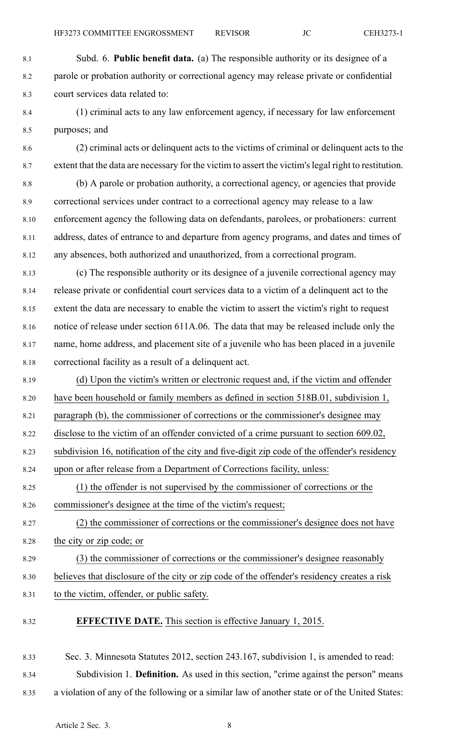- 8.1 Subd. 6. **Public benefit data.** (a) The responsible authority or its designee of <sup>a</sup> 8.2 parole or probation authority or correctional agency may release private or confidential 8.3 court services data related to:
- 8.4 (1) criminal acts to any law enforcement agency, if necessary for law enforcement 8.5 purposes; and
- 8.6 (2) criminal acts or delinquent acts to the victims of criminal or delinquent acts to the 8.7 extent that the data are necessary for the victim to assert the victim'slegal right to restitution.
- 8.8 (b) A parole or probation authority, <sup>a</sup> correctional agency, or agencies that provide 8.9 correctional services under contract to <sup>a</sup> correctional agency may release to <sup>a</sup> law 8.10 enforcement agency the following data on defendants, parolees, or probationers: current 8.11 address, dates of entrance to and departure from agency programs, and dates and times of 8.12 any absences, both authorized and unauthorized, from <sup>a</sup> correctional program.
- 8.13 (c) The responsible authority or its designee of <sup>a</sup> juvenile correctional agency may 8.14 release private or confidential court services data to <sup>a</sup> victim of <sup>a</sup> delinquent act to the 8.15 extent the data are necessary to enable the victim to assert the victim's right to reques<sup>t</sup> 8.16 notice of release under section 611A.06. The data that may be released include only the 8.17 name, home address, and placement site of <sup>a</sup> juvenile who has been placed in <sup>a</sup> juvenile 8.18 correctional facility as <sup>a</sup> result of <sup>a</sup> delinquent act.
- 8.19 (d) Upon the victim's written or electronic reques<sup>t</sup> and, if the victim and offender 8.20 have been household or family members as defined in section 518B.01, subdivision 1, 8.21 paragraph (b), the commissioner of corrections or the commissioner's designee may 8.22 disclose to the victim of an offender convicted of <sup>a</sup> crime pursuan<sup>t</sup> to section 609.02, 8.23 subdivision 16, notification of the city and five-digit zip code of the offender's residency 8.24 upon or after release from <sup>a</sup> Department of Corrections facility, unless: 8.25 (1) the offender is not supervised by the commissioner of corrections or the 8.26 commissioner's designee at the time of the victim's request; 8.27 (2) the commissioner of corrections or the commissioner's designee does not have 8.28 the city or zip code; or 8.29 (3) the commissioner of corrections or the commissioner's designee reasonably 8.30 believes that disclosure of the city or zip code of the offender's residency creates <sup>a</sup> risk
- 8.31 to the victim, offender, or public safety.
- 8.32 **EFFECTIVE DATE.** This section is effective January 1, 2015.

8.33 Sec. 3. Minnesota Statutes 2012, section 243.167, subdivision 1, is amended to read: 8.34 Subdivision 1. **Definition.** As used in this section, "crime against the person" means 8.35 <sup>a</sup> violation of any of the following or <sup>a</sup> similar law of another state or of the United States: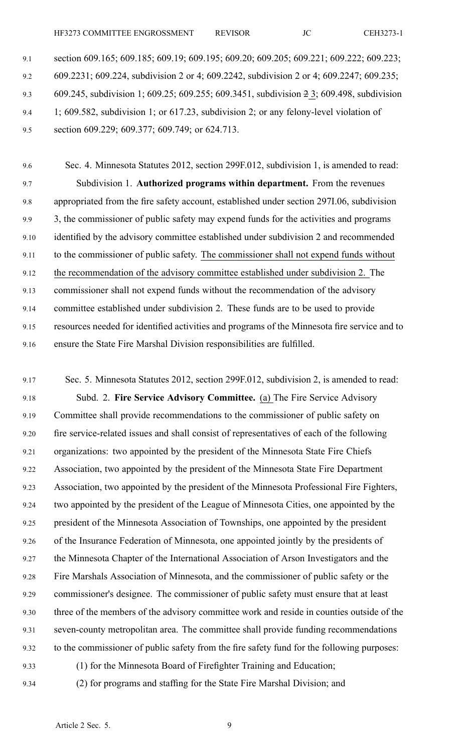HF3273 COMMITTEE ENGROSSMENT REVISOR JC CEH3273-1

9.1 section 609.165; 609.185; 609.19; 609.195; 609.20; 609.205; 609.221; 609.222; 609.223; 9.2 609.2231; 609.224, subdivision 2 or 4; 609.2242, subdivision 2 or 4; 609.2247; 609.235; 9.3 609.245, subdivision 1; 609.25; 609.255; 609.3451, subdivision 2 3; 609.498, subdivision 9.4 1; 609.582, subdivision 1; or 617.23, subdivision 2; or any felony-level violation of 9.5 section 609.229; 609.377; 609.749; or 624.713.

9.6 Sec. 4. Minnesota Statutes 2012, section 299F.012, subdivision 1, is amended to read: 9.7 Subdivision 1. **Authorized programs within department.** From the revenues 9.8 appropriated from the fire safety account, established under section 297I.06, subdivision 9.9 3, the commissioner of public safety may expend funds for the activities and programs 9.10 identified by the advisory committee established under subdivision 2 and recommended 9.11 to the commissioner of public safety. The commissioner shall not expend funds without 9.12 the recommendation of the advisory committee established under subdivision 2. The 9.13 commissioner shall not expend funds without the recommendation of the advisory 9.14 committee established under subdivision 2. These funds are to be used to provide 9.15 resources needed for identified activities and programs of the Minnesota fire service and to 9.16 ensure the State Fire Marshal Division responsibilities are fulfilled.

9.17 Sec. 5. Minnesota Statutes 2012, section 299F.012, subdivision 2, is amended to read: 9.18 Subd. 2. **Fire Service Advisory Committee.** (a) The Fire Service Advisory 9.19 Committee shall provide recommendations to the commissioner of public safety on 9.20 fire service-related issues and shall consist of representatives of each of the following 9.21 organizations: two appointed by the president of the Minnesota State Fire Chiefs 9.22 Association, two appointed by the president of the Minnesota State Fire Department 9.23 Association, two appointed by the president of the Minnesota Professional Fire Fighters, 9.24 two appointed by the president of the League of Minnesota Cities, one appointed by the 9.25 president of the Minnesota Association of Townships, one appointed by the president 9.26 of the Insurance Federation of Minnesota, one appointed jointly by the presidents of 9.27 the Minnesota Chapter of the International Association of Arson Investigators and the 9.28 Fire Marshals Association of Minnesota, and the commissioner of public safety or the 9.29 commissioner's designee. The commissioner of public safety must ensure that at least 9.30 three of the members of the advisory committee work and reside in counties outside of the 9.31 seven-county metropolitan area. The committee shall provide funding recommendations 9.32 to the commissioner of public safety from the fire safety fund for the following purposes: 9.33 (1) for the Minnesota Board of Firefighter Training and Education;

9.34 (2) for programs and staffing for the State Fire Marshal Division; and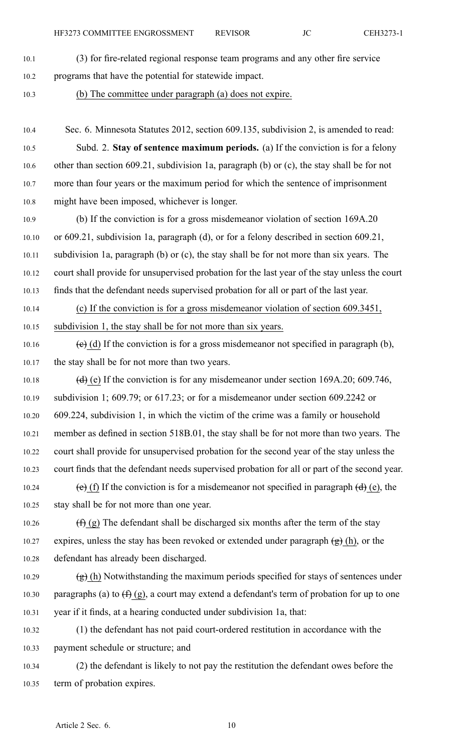- 10.1 (3) for fire-related regional response team programs and any other fire service
- 10.2 programs that have the potential for statewide impact.
- 10.3 (b) The committee under paragraph (a) does not expire.
- 10.4 Sec. 6. Minnesota Statutes 2012, section 609.135, subdivision 2, is amended to read: 10.5 Subd. 2. **Stay of sentence maximum periods.** (a) If the conviction is for <sup>a</sup> felony 10.6 other than section 609.21, subdivision 1a, paragraph (b) or (c), the stay shall be for not 10.7 more than four years or the maximum period for which the sentence of imprisonment 10.8 might have been imposed, whichever is longer.
- 10.9 (b) If the conviction is for <sup>a</sup> gross misdemeanor violation of section 169A.20 10.10 or 609.21, subdivision 1a, paragraph (d), or for <sup>a</sup> felony described in section 609.21, 10.11 subdivision 1a, paragraph (b) or (c), the stay shall be for not more than six years. The 10.12 court shall provide for unsupervised probation for the last year of the stay unless the court 10.13 finds that the defendant needs supervised probation for all or par<sup>t</sup> of the last year.
- 10.14 (c) If the conviction is for <sup>a</sup> gross misdemeanor violation of section 609.3451, 10.15 subdivision 1, the stay shall be for not more than six years.
- 10.16 (e) (d) If the conviction is for a gross misdemeanor not specified in paragraph (b), 10.17 the stay shall be for not more than two years.
- 10.18 (d) (e) If the conviction is for any misdemeanor under section 169A.20; 609.746, 10.19 subdivision 1; 609.79; or 617.23; or for <sup>a</sup> misdemeanor under section 609.2242 or 10.20 609.224, subdivision 1, in which the victim of the crime was <sup>a</sup> family or household 10.21 member as defined in section 518B.01, the stay shall be for not more than two years. The 10.22 court shall provide for unsupervised probation for the second year of the stay unless the 10.23 court finds that the defendant needs supervised probation for all or par<sup>t</sup> of the second year. 10.24 (e) (f) If the conviction is for a misdemeanor not specified in paragraph  $(d)$  (e), the
- 10.25 stay shall be for not more than one year.
- 10.26  $(f)$  (g) The defendant shall be discharged six months after the term of the stay 10.27 expires, unless the stay has been revoked or extended under paragraph  $(g)$  (h), or the 10.28 defendant has already been discharged.
- 10.29  $(g)$  (h) Notwithstanding the maximum periods specified for stays of sentences under 10.30 paragraphs (a) to  $(f)(g)$ , a court may extend a defendant's term of probation for up to one 10.31 year if it finds, at <sup>a</sup> hearing conducted under subdivision 1a, that:
- 10.32 (1) the defendant has not paid court-ordered restitution in accordance with the 10.33 paymen<sup>t</sup> schedule or structure; and
- 10.34 (2) the defendant is likely to not pay the restitution the defendant owes before the 10.35 term of probation expires.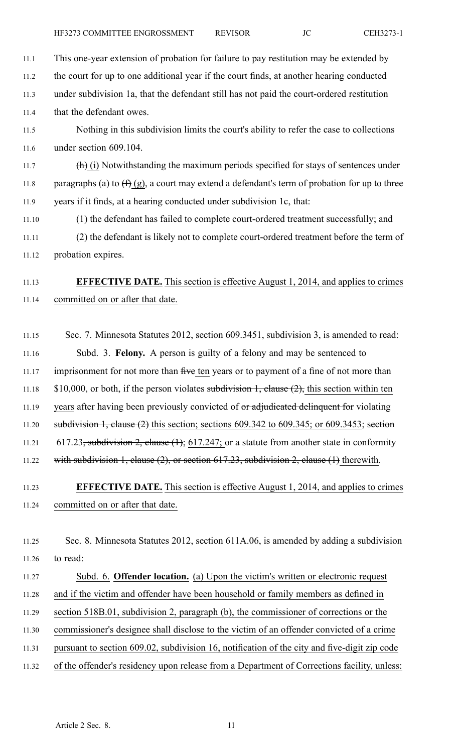| 11.1  | This one-year extension of probation for failure to pay restitution may be extended by                 |
|-------|--------------------------------------------------------------------------------------------------------|
| 11.2  | the court for up to one additional year if the court finds, at another hearing conducted               |
| 11.3  | under subdivision 1a, that the defendant still has not paid the court-ordered restitution              |
| 11.4  | that the defendant owes.                                                                               |
| 11.5  | Nothing in this subdivision limits the court's ability to refer the case to collections                |
| 11.6  | under section 609.104.                                                                                 |
| 11.7  | $(h)$ (i) Notwithstanding the maximum periods specified for stays of sentences under                   |
| 11.8  | paragraphs (a) to $(f)(g)$ , a court may extend a defendant's term of probation for up to three        |
| 11.9  | years if it finds, at a hearing conducted under subdivision 1c, that:                                  |
| 11.10 | (1) the defendant has failed to complete court-ordered treatment successfully; and                     |
| 11.11 | (2) the defendant is likely not to complete court-ordered treatment before the term of                 |
| 11.12 | probation expires.                                                                                     |
| 11.13 | <b>EFFECTIVE DATE.</b> This section is effective August 1, 2014, and applies to crimes                 |
| 11.14 | committed on or after that date.                                                                       |
| 11.15 | Sec. 7. Minnesota Statutes 2012, section 609.3451, subdivision 3, is amended to read:                  |
| 11.16 | Subd. 3. Felony. A person is guilty of a felony and may be sentenced to                                |
| 11.17 | imprisonment for not more than five ten years or to payment of a fine of not more than                 |
| 11.18 | \$10,000, or both, if the person violates subdivision 1, clause $(2)$ , this section within ten        |
| 11.19 | years after having been previously convicted of or adjudicated delinquent for violating                |
| 11.20 | subdivision 1, clause $(2)$ this section; sections 609.342 to 609.345; or 609.3453; section            |
| 11.21 | 617.23 <del>, subdivision 2, clause (1)</del> ; 617.247; or a statute from another state in conformity |
| 11.22 | with subdivision 1, clause (2), or section $617.23$ , subdivision 2, clause (1) therewith.             |
| 11.23 | <b>EFFECTIVE DATE.</b> This section is effective August 1, 2014, and applies to crimes                 |
| 11.24 | committed on or after that date.                                                                       |
| 11.25 | Sec. 8. Minnesota Statutes 2012, section 611A.06, is amended by adding a subdivision                   |
| 11.26 | to read:                                                                                               |
| 11.27 | Subd. 6. Offender location. (a) Upon the victim's written or electronic request                        |
| 11.28 | and if the victim and offender have been household or family members as defined in                     |
| 11.29 | section 518B.01, subdivision 2, paragraph (b), the commissioner of corrections or the                  |
| 11.30 | commissioner's designee shall disclose to the victim of an offender convicted of a crime               |

- 11.31 pursuan<sup>t</sup> to section 609.02, subdivision 16, notification of the city and five-digit zip code
- 11.32 of the offender's residency upon release from <sup>a</sup> Department of Corrections facility, unless: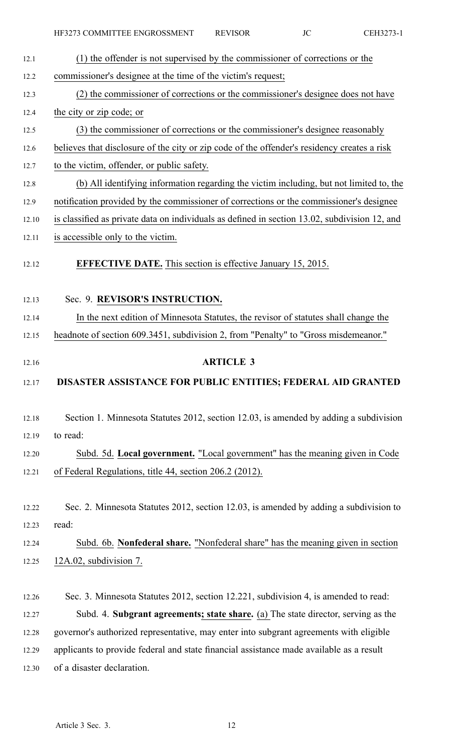| 12.1  | (1) the offender is not supervised by the commissioner of corrections or the                  |
|-------|-----------------------------------------------------------------------------------------------|
| 12.2  | commissioner's designee at the time of the victim's request;                                  |
| 12.3  | (2) the commissioner of corrections or the commissioner's designee does not have              |
| 12.4  | the city or zip code; or                                                                      |
| 12.5  | (3) the commissioner of corrections or the commissioner's designee reasonably                 |
| 12.6  | believes that disclosure of the city or zip code of the offender's residency creates a risk   |
| 12.7  | to the victim, offender, or public safety.                                                    |
| 12.8  | (b) All identifying information regarding the victim including, but not limited to, the       |
| 12.9  | notification provided by the commissioner of corrections or the commissioner's designee       |
| 12.10 | is classified as private data on individuals as defined in section 13.02, subdivision 12, and |
| 12.11 | is accessible only to the victim.                                                             |
| 12.12 | <b>EFFECTIVE DATE.</b> This section is effective January 15, 2015.                            |
| 12.13 | Sec. 9. REVISOR'S INSTRUCTION.                                                                |
| 12.14 | In the next edition of Minnesota Statutes, the revisor of statutes shall change the           |
| 12.15 | headnote of section 609.3451, subdivision 2, from "Penalty" to "Gross misdemeanor."           |
| 12.16 | <b>ARTICLE 3</b>                                                                              |
| 12.17 | DISASTER ASSISTANCE FOR PUBLIC ENTITIES; FEDERAL AID GRANTED                                  |
| 12.18 | Section 1. Minnesota Statutes 2012, section 12.03, is amended by adding a subdivision         |
| 12.19 | to read:                                                                                      |
| 12.20 | Subd. 5d. Local government. "Local government" has the meaning given in Code                  |
| 12.21 | of Federal Regulations, title 44, section 206.2 (2012).                                       |
| 12.22 | Sec. 2. Minnesota Statutes 2012, section 12.03, is amended by adding a subdivision to         |
| 12.23 | read:                                                                                         |
| 12.24 | Subd. 6b. Nonfederal share. "Nonfederal share" has the meaning given in section               |
| 12.25 | 12A.02, subdivision 7.                                                                        |
| 12.26 | Sec. 3. Minnesota Statutes 2012, section 12.221, subdivision 4, is amended to read:           |
| 12.27 | Subd. 4. Subgrant agreements; state share. (a) The state director, serving as the             |
| 12.28 | governor's authorized representative, may enter into subgrant agreements with eligible        |
| 12.29 | applicants to provide federal and state financial assistance made available as a result       |

12.30 of <sup>a</sup> disaster declaration.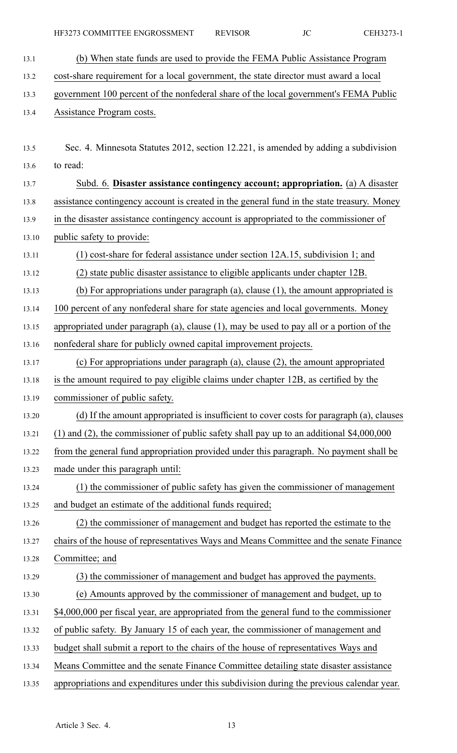- 13.1 (b) When state funds are used to provide the FEMA Public Assistance Program 13.2 cost-share requirement for <sup>a</sup> local government, the state director must award <sup>a</sup> local 13.3 governmen<sup>t</sup> 100 percen<sup>t</sup> of the nonfederal share of the local government's FEMA Public 13.4 Assistance Program costs. 13.5 Sec. 4. Minnesota Statutes 2012, section 12.221, is amended by adding <sup>a</sup> subdivision 13.6 to read: 13.7 Subd. 6. **Disaster assistance contingency account; appropriation.** (a) A disaster 13.8 assistance contingency account is created in the general fund in the state treasury. Money 13.9 in the disaster assistance contingency account is appropriated to the commissioner of 13.10 public safety to provide: 13.11 (1) cost-share for federal assistance under section 12A.15, subdivision 1; and 13.12 (2) state public disaster assistance to eligible applicants under chapter 12B. 13.13 (b) For appropriations under paragraph (a), clause (1), the amount appropriated is 13.14 100 percen<sup>t</sup> of any nonfederal share for state agencies and local governments. Money 13.15 appropriated under paragraph (a), clause (1), may be used to pay all or <sup>a</sup> portion of the 13.16 nonfederal share for publicly owned capital improvement projects. 13.17 (c) For appropriations under paragraph (a), clause (2), the amount appropriated 13.18 is the amount required to pay eligible claims under chapter 12B, as certified by the 13.19 commissioner of public safety. 13.20 (d) If the amount appropriated is insufficient to cover costs for paragraph (a), clauses 13.21 (1) and (2), the commissioner of public safety shall pay up to an additional \$4,000,000 13.22 from the general fund appropriation provided under this paragraph. No paymen<sup>t</sup> shall be 13.23 made under this paragraph until: 13.24 (1) the commissioner of public safety has given the commissioner of managemen<sup>t</sup> 13.25 and budget an estimate of the additional funds required; 13.26 (2) the commissioner of managemen<sup>t</sup> and budget has reported the estimate to the 13.27 chairs of the house of representatives Ways and Means Committee and the senate Finance 13.28 Committee; and 13.29 (3) the commissioner of managemen<sup>t</sup> and budget has approved the payments. 13.30 (e) Amounts approved by the commissioner of managemen<sup>t</sup> and budget, up to 13.31 \$4,000,000 per fiscal year, are appropriated from the general fund to the commissioner 13.32 of public safety. By January 15 of each year, the commissioner of managemen<sup>t</sup> and 13.33 budget shall submit <sup>a</sup> repor<sup>t</sup> to the chairs of the house of representatives Ways and
- 13.34 Means Committee and the senate Finance Committee detailing state disaster assistance
- 13.35 appropriations and expenditures under this subdivision during the previous calendar year.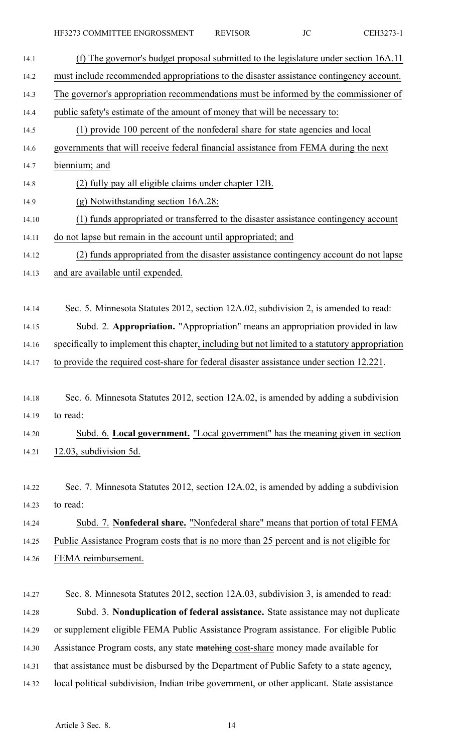| (f) The governor's budget proposal submitted to the legislature under section 16A.11           |
|------------------------------------------------------------------------------------------------|
| must include recommended appropriations to the disaster assistance contingency account.        |
| The governor's appropriation recommendations must be informed by the commissioner of           |
| public safety's estimate of the amount of money that will be necessary to:                     |
| (1) provide 100 percent of the nonfederal share for state agencies and local                   |
| governments that will receive federal financial assistance from FEMA during the next           |
| biennium; and                                                                                  |
| (2) fully pay all eligible claims under chapter 12B.                                           |
| (g) Notwithstanding section 16A.28:                                                            |
| (1) funds appropriated or transferred to the disaster assistance contingency account           |
| do not lapse but remain in the account until appropriated; and                                 |
| (2) funds appropriated from the disaster assistance contingency account do not lapse           |
| and are available until expended.                                                              |
| Sec. 5. Minnesota Statutes 2012, section 12A.02, subdivision 2, is amended to read:            |
| Subd. 2. Appropriation. "Appropriation" means an appropriation provided in law                 |
| specifically to implement this chapter, including but not limited to a statutory appropriation |
| to provide the required cost-share for federal disaster assistance under section 12.221.       |
| Sec. 6. Minnesota Statutes 2012, section 12A.02, is amended by adding a subdivision            |
| to read:                                                                                       |
| Subd. 6. Local government. "Local government" has the meaning given in section                 |
| 12.03, subdivision 5d.                                                                         |
| Sec. 7. Minnesota Statutes 2012, section 12A.02, is amended by adding a subdivision            |
| to read:                                                                                       |
| Subd. 7. Nonfederal share. "Nonfederal share" means that portion of total FEMA                 |
| Public Assistance Program costs that is no more than 25 percent and is not eligible for        |
| FEMA reimbursement.                                                                            |
| Sec. 8. Minnesota Statutes 2012, section 12A.03, subdivision 3, is amended to read:            |
| Subd. 3. Nonduplication of federal assistance. State assistance may not duplicate              |
| or supplement eligible FEMA Public Assistance Program assistance. For eligible Public          |

14.30 Assistance Program costs, any state matching cost-share money made available for

- 14.31 that assistance must be disbursed by the Department of Public Safety to <sup>a</sup> state agency,
- 14.32 local political subdivision, Indian tribe government, or other applicant. State assistance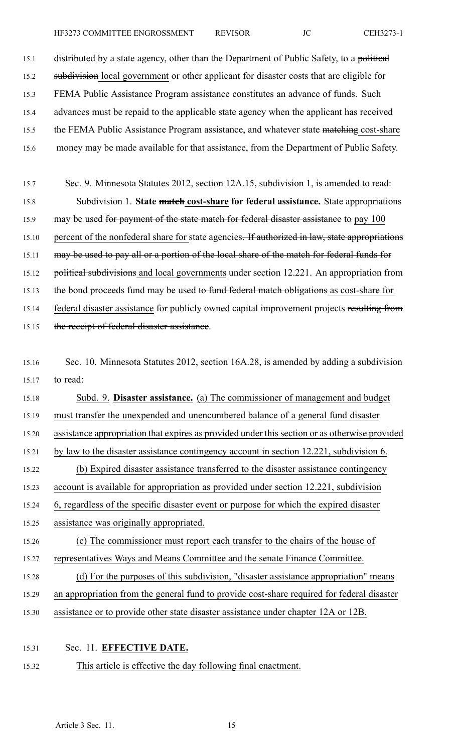15.1 distributed by a state agency, other than the Department of Public Safety, to a political 15.2 subdivision local government or other applicant for disaster costs that are eligible for 15.3 FEMA Public Assistance Program assistance constitutes an advance of funds. Such 15.4 advances must be repaid to the applicable state agency when the applicant has received 15.5 the FEMA Public Assistance Program assistance, and whatever state matching cost-share 15.6 money may be made available for that assistance, from the Department of Public Safety.

- 15.7 Sec. 9. Minnesota Statutes 2012, section 12A.15, subdivision 1, is amended to read: 15.8 Subdivision 1. **State match cost-share for federal assistance.** State appropriations 15.9 may be used for payment of the state match for federal disaster assistance to pay 100 15.10 percent of the nonfederal share for state agencies. If authorized in law, state appropriations 15.11 may be used to pay all or a portion of the local share of the match for federal funds for 15.12 political subdivisions and local governments under section 12.221. An appropriation from 15.13 the bond proceeds fund may be used to fund federal match obligations as cost-share for 15.14 federal disaster assistance for publicly owned capital improvement projects resulting from 15.15 the receipt of federal disaster assistance.
- 15.16 Sec. 10. Minnesota Statutes 2012, section 16A.28, is amended by adding <sup>a</sup> subdivision 15.17 to read:
- 15.18 Subd. 9. **Disaster assistance.** (a) The commissioner of managemen<sup>t</sup> and budget 15.19 must transfer the unexpended and unencumbered balance of <sup>a</sup> general fund disaster 15.20 assistance appropriation that expires as provided under thissection or as otherwise provided 15.21 by law to the disaster assistance contingency account in section 12.221, subdivision 6. 15.22 (b) Expired disaster assistance transferred to the disaster assistance contingency 15.23 account is available for appropriation as provided under section 12.221, subdivision 15.24 6, regardless of the specific disaster event or purpose for which the expired disaster 15.25 assistance was originally appropriated. 15.26 (c) The commissioner must repor<sup>t</sup> each transfer to the chairs of the house of 15.27 representatives Ways and Means Committee and the senate Finance Committee. 15.28 (d) For the purposes of this subdivision, "disaster assistance appropriation" means 15.29 an appropriation from the general fund to provide cost-share required for federal disaster 15.30 assistance or to provide other state disaster assistance under chapter 12A or 12B.
- 15.31 Sec. 11. **EFFECTIVE DATE.**
- 15.32 This article is effective the day following final enactment.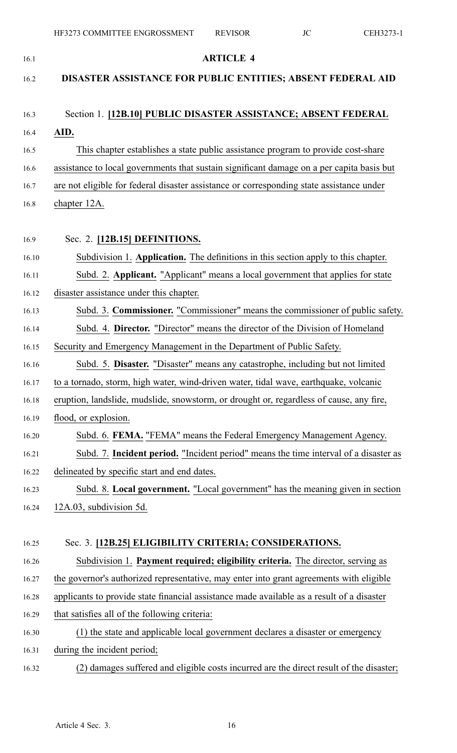| 16.1  | <b>ARTICLE 4</b>                                                                          |
|-------|-------------------------------------------------------------------------------------------|
| 16.2  | DISASTER ASSISTANCE FOR PUBLIC ENTITIES; ABSENT FEDERAL AID                               |
| 16.3  | Section 1. [12B.10] PUBLIC DISASTER ASSISTANCE; ABSENT FEDERAL                            |
| 16.4  | AID.                                                                                      |
| 16.5  | This chapter establishes a state public assistance program to provide cost-share          |
| 16.6  | assistance to local governments that sustain significant damage on a per capita basis but |
| 16.7  | are not eligible for federal disaster assistance or corresponding state assistance under  |
| 16.8  | chapter 12A.                                                                              |
| 16.9  | Sec. 2. [12B.15] DEFINITIONS.                                                             |
| 16.10 | Subdivision 1. Application. The definitions in this section apply to this chapter.        |
| 16.11 | Subd. 2. Applicant. "Applicant" means a local government that applies for state           |
| 16.12 | disaster assistance under this chapter.                                                   |
| 16.13 | Subd. 3. Commissioner. "Commissioner" means the commissioner of public safety.            |
| 16.14 | Subd. 4. Director. "Director" means the director of the Division of Homeland              |
| 16.15 | Security and Emergency Management in the Department of Public Safety.                     |
| 16.16 | Subd. 5. Disaster. "Disaster" means any catastrophe, including but not limited            |
| 16.17 | to a tornado, storm, high water, wind-driven water, tidal wave, earthquake, volcanic      |
| 16.18 | eruption, landslide, mudslide, snowstorm, or drought or, regardless of cause, any fire,   |
| 16.19 | flood, or explosion.                                                                      |
| 16.20 | Subd. 6. FEMA. "FEMA" means the Federal Emergency Management Agency.                      |
| 16.21 | Subd. 7. Incident period. "Incident period" means the time interval of a disaster as      |
| 16.22 | delineated by specific start and end dates.                                               |
| 16.23 | Subd. 8. Local government. "Local government" has the meaning given in section            |
| 16.24 | 12A.03, subdivision 5d.                                                                   |
| 16.25 | Sec. 3. [12B.25] ELIGIBILITY CRITERIA; CONSIDERATIONS.                                    |
| 16.26 | Subdivision 1. Payment required; eligibility criteria. The director, serving as           |
| 16.27 | the governor's authorized representative, may enter into grant agreements with eligible   |
| 16.28 | applicants to provide state financial assistance made available as a result of a disaster |
| 16.29 | that satisfies all of the following criteria:                                             |
| 16.30 | (1) the state and applicable local government declares a disaster or emergency            |
| 16.31 | during the incident period;                                                               |
| 16.32 | (2) damages suffered and eligible costs incurred are the direct result of the disaster;   |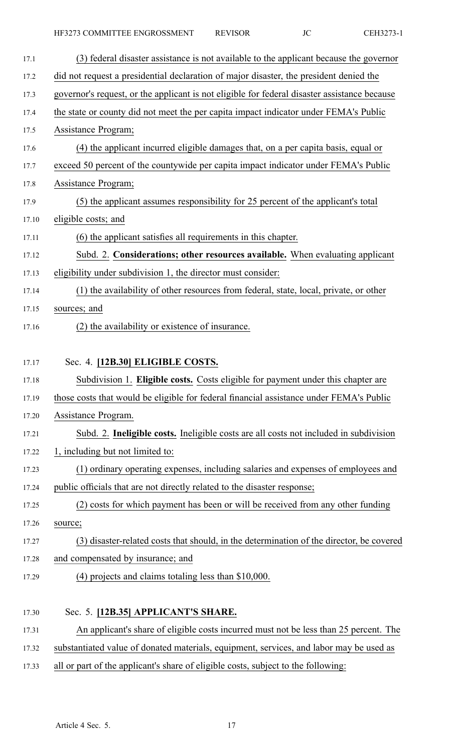| 17.1  | (3) federal disaster assistance is not available to the applicant because the governor       |
|-------|----------------------------------------------------------------------------------------------|
| 17.2  | did not request a presidential declaration of major disaster, the president denied the       |
| 17.3  | governor's request, or the applicant is not eligible for federal disaster assistance because |
| 17.4  | the state or county did not meet the per capita impact indicator under FEMA's Public         |
| 17.5  | <b>Assistance Program</b> ;                                                                  |
| 17.6  | (4) the applicant incurred eligible damages that, on a per capita basis, equal or            |
| 17.7  | exceed 50 percent of the countywide per capita impact indicator under FEMA's Public          |
| 17.8  | Assistance Program;                                                                          |
| 17.9  | (5) the applicant assumes responsibility for 25 percent of the applicant's total             |
| 17.10 | eligible costs; and                                                                          |
| 17.11 | (6) the applicant satisfies all requirements in this chapter.                                |
| 17.12 | Subd. 2. Considerations; other resources available. When evaluating applicant                |
| 17.13 | eligibility under subdivision 1, the director must consider:                                 |
| 17.14 | (1) the availability of other resources from federal, state, local, private, or other        |
| 17.15 | sources; and                                                                                 |
| 17.16 | (2) the availability or existence of insurance.                                              |
|       |                                                                                              |
| 17.17 | Sec. 4. [12B.30] ELIGIBLE COSTS.                                                             |
| 17.18 | Subdivision 1. Eligible costs. Costs eligible for payment under this chapter are             |
| 17.19 | those costs that would be eligible for federal financial assistance under FEMA's Public      |
| 17.20 | Assistance Program.                                                                          |
| 17.21 | Subd. 2. Ineligible costs. Ineligible costs are all costs not included in subdivision        |
| 17.22 | 1, including but not limited to:                                                             |
| 17.23 | (1) ordinary operating expenses, including salaries and expenses of employees and            |
| 17.24 | public officials that are not directly related to the disaster response;                     |
| 17.25 | (2) costs for which payment has been or will be received from any other funding              |
| 17.26 | source;                                                                                      |
| 17.27 | (3) disaster-related costs that should, in the determination of the director, be covered     |
| 17.28 | and compensated by insurance; and                                                            |
| 17.29 | $(4)$ projects and claims totaling less than \$10,000.                                       |
|       |                                                                                              |
| 17.30 | Sec. 5. [12B.35] APPLICANT'S SHARE.                                                          |
| 17.31 | An applicant's share of eligible costs incurred must not be less than 25 percent. The        |

- 17.32 substantiated value of donated materials, equipment, services, and labor may be used as
- 17.33 all or par<sup>t</sup> of the applicant's share of eligible costs, subject to the following: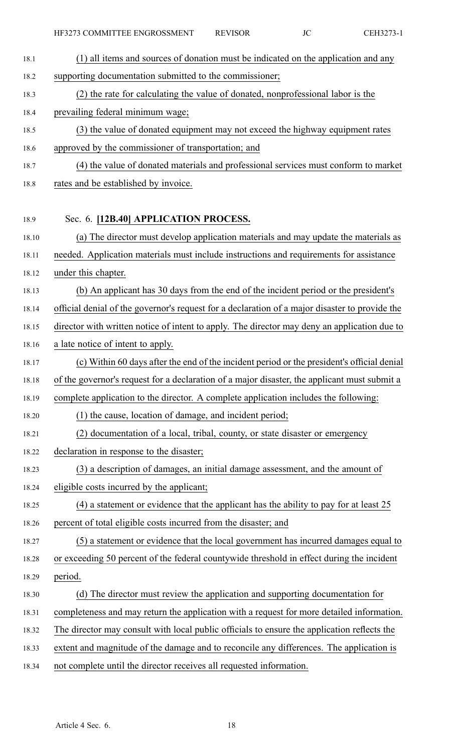18.1 (1) all items and sources of donation must be indicated on the application and any 18.2 supporting documentation submitted to the commissioner; 18.3 (2) the rate for calculating the value of donated, nonprofessional labor is the 18.4 prevailing federal minimum wage; 18.5 (3) the value of donated equipment may not exceed the highway equipment rates 18.6 approved by the commissioner of transportation; and 18.7 (4) the value of donated materials and professional services must conform to market 18.8 rates and be established by invoice. 18.9 Sec. 6. **[12B.40] APPLICATION PROCESS.** 18.10 (a) The director must develop application materials and may update the materials as 18.11 needed. Application materials must include instructions and requirements for assistance 18.12 under this chapter. 18.13 (b) An applicant has 30 days from the end of the incident period or the president's 18.14 official denial of the governor's reques<sup>t</sup> for <sup>a</sup> declaration of <sup>a</sup> major disaster to provide the 18.15 director with written notice of intent to apply. The director may deny an application due to 18.16 <sup>a</sup> late notice of intent to apply. 18.17 (c) Within 60 days after the end of the incident period or the president's official denial 18.18 of the governor's reques<sup>t</sup> for <sup>a</sup> declaration of <sup>a</sup> major disaster, the applicant must submit <sup>a</sup> 18.19 complete application to the director. A complete application includes the following: 18.20 (1) the cause, location of damage, and incident period; 18.21 (2) documentation of <sup>a</sup> local, tribal, county, or state disaster or emergency 18.22 declaration in response to the disaster; 18.23 (3) <sup>a</sup> description of damages, an initial damage assessment, and the amount of 18.24 eligible costs incurred by the applicant; 18.25 (4) <sup>a</sup> statement or evidence that the applicant has the ability to pay for at least 25 18.26 percen<sup>t</sup> of total eligible costs incurred from the disaster; and 18.27 (5) <sup>a</sup> statement or evidence that the local governmen<sup>t</sup> has incurred damages equal to 18.28 or exceeding 50 percen<sup>t</sup> of the federal countywide threshold in effect during the incident 18.29 period. 18.30 (d) The director must review the application and supporting documentation for 18.31 completeness and may return the application with <sup>a</sup> reques<sup>t</sup> for more detailed information. 18.32 The director may consult with local public officials to ensure the application reflects the 18.33 extent and magnitude of the damage and to reconcile any differences. The application is 18.34 not complete until the director receives all requested information.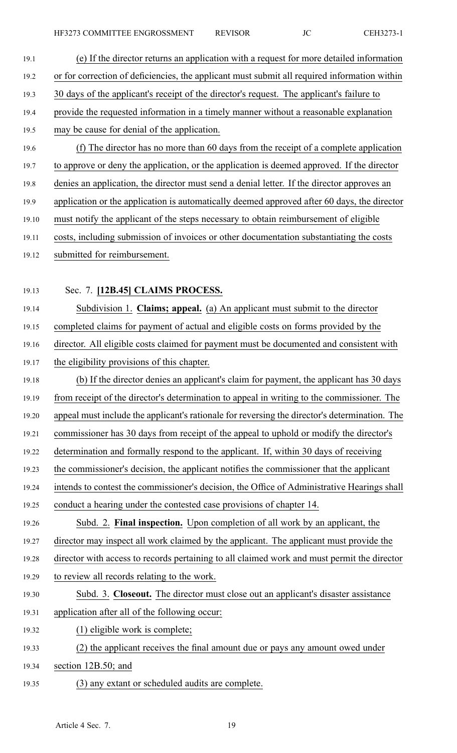- 19.1 (e) If the director returns an application with <sup>a</sup> reques<sup>t</sup> for more detailed information 19.2 or for correction of deficiencies, the applicant must submit all required information within 19.3 30 days of the applicant's receipt of the director's request. The applicant's failure to 19.4 provide the requested information in <sup>a</sup> timely manner without <sup>a</sup> reasonable explanation 19.5 may be cause for denial of the application. 19.6 (f) The director has no more than 60 days from the receipt of <sup>a</sup> complete application 19.7 to approve or deny the application, or the application is deemed approved. If the director 19.8 denies an application, the director must send <sup>a</sup> denial letter. If the director approves an 19.9 application or the application is automatically deemed approved after 60 days, the director 19.10 must notify the applicant of the steps necessary to obtain reimbursement of eligible 19.11 costs, including submission of invoices or other documentation substantiating the costs 19.12 submitted for reimbursement.
- 

## 19.13 Sec. 7. **[12B.45] CLAIMS PROCESS.**

19.14 Subdivision 1. **Claims; appeal.** (a) An applicant must submit to the director 19.15 completed claims for paymen<sup>t</sup> of actual and eligible costs on forms provided by the 19.16 director. All eligible costs claimed for paymen<sup>t</sup> must be documented and consistent with

- 19.17 the eligibility provisions of this chapter.
- 19.18 (b) If the director denies an applicant's claim for payment, the applicant has 30 days 19.19 from receipt of the director's determination to appeal in writing to the commissioner. The 19.20 appeal must include the applicant's rationale for reversing the director's determination. The 19.21 commissioner has 30 days from receipt of the appeal to uphold or modify the director's
- 19.22 determination and formally respond to the applicant. If, within 30 days of receiving
- 19.23 the commissioner's decision, the applicant notifies the commissioner that the applicant
- 19.24 intends to contest the commissioner's decision, the Office of Administrative Hearings shall 19.25 conduct <sup>a</sup> hearing under the contested case provisions of chapter 14.
- 19.26 Subd. 2. **Final inspection.** Upon completion of all work by an applicant, the

19.27 director may inspect all work claimed by the applicant. The applicant must provide the

- 19.28 director with access to records pertaining to all claimed work and must permit the director
- 19.29 to review all records relating to the work.
- 19.30 Subd. 3. **Closeout.** The director must close out an applicant's disaster assistance 19.31 application after all of the following occur:
- 19.32 (1) eligible work is complete;
- 19.33 (2) the applicant receives the final amount due or pays any amount owed under
- 19.34 section 12B.50; and
- 19.35 (3) any extant or scheduled audits are complete.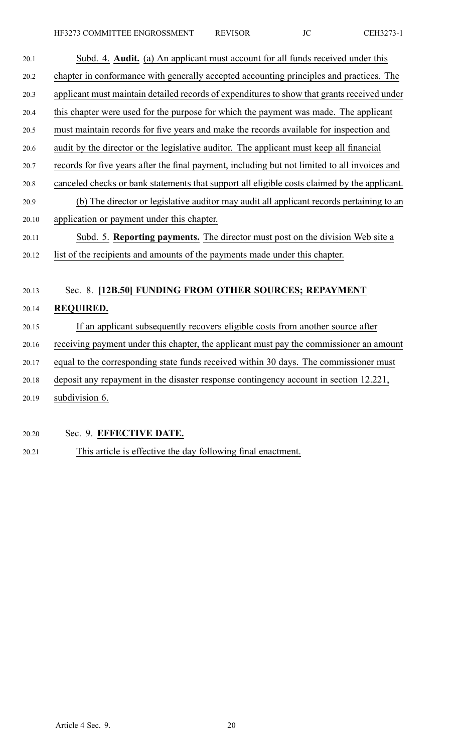| 20.1  | Subd. 4. Audit. (a) An applicant must account for all funds received under this               |
|-------|-----------------------------------------------------------------------------------------------|
| 20.2  | chapter in conformance with generally accepted accounting principles and practices. The       |
| 20.3  | applicant must maintain detailed records of expenditures to show that grants received under   |
| 20.4  | this chapter were used for the purpose for which the payment was made. The applicant          |
| 20.5  | must maintain records for five years and make the records available for inspection and        |
| 20.6  | audit by the director or the legislative auditor. The applicant must keep all financial       |
| 20.7  | records for five years after the final payment, including but not limited to all invoices and |
| 20.8  | canceled checks or bank statements that support all eligible costs claimed by the applicant.  |
| 20.9  | (b) The director or legislative auditor may audit all applicant records pertaining to an      |
| 20.10 | application or payment under this chapter.                                                    |
| 20.11 | Subd. 5. Reporting payments. The director must post on the division Web site a                |
| 20.12 | list of the recipients and amounts of the payments made under this chapter.                   |
|       |                                                                                               |
| 20.13 | Sec. 8. [12B.50] FUNDING FROM OTHER SOURCES; REPAYMENT                                        |
| 20.14 | <b>REQUIRED.</b>                                                                              |
| 20.15 | If an applicant subsequently recovers eligible costs from another source after                |
| 20.16 | receiving payment under this chapter, the applicant must pay the commissioner an amount       |
| 20.17 | equal to the corresponding state funds received within 30 days. The commissioner must         |
| 20.18 | deposit any repayment in the disaster response contingency account in section 12.221,         |
| 20.19 | subdivision 6.                                                                                |
|       |                                                                                               |

- 20.20 Sec. 9. **EFFECTIVE DATE.**
- 20.21 This article is effective the day following final enactment.